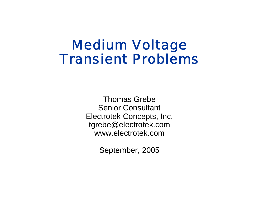# Medium Voltage Transient Problems

Thomas GrebeSenior Consultant Electrotek Concepts, Inc. tgrebe@electrotek.com www.electrotek.com

September, 2005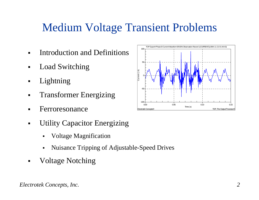## Medium Voltage Transient Problems

- $\blacksquare$ Introduction and Definitions
- $\blacksquare$ Load Switching
- Lightning
- $\blacksquare$ Transformer Energizing
- Ferroresonance
- $\blacksquare$  Utility Capacitor Energizing
	- $\blacksquare$ Voltage Magnification
	- $\blacksquare$ Nuisance Tripping of Adjustable-Speed Drives
- $\blacksquare$ Voltage Notching

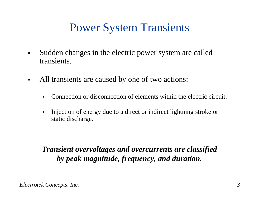#### Power System Transients

- $\blacksquare$  Sudden changes in the electric power system are called transients.
- $\blacksquare$  All transients are caused by one of two actions:
	- $\blacksquare$ Connection or disconnection of elements within the electric circuit.
	- $\blacksquare$  Injection of energy due to a direct or indirect lightning stroke or static discharge.

*Transient overvoltages and overcurrents are classified by peak magnitude, frequency, and duration.*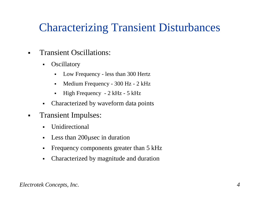# Characterizing Transient Disturbances

- $\blacksquare$  Transient Oscillations:
	- $\blacksquare$ **Oscillatory** 
		- $\blacksquare$ Low Frequency - less than 300 Hertz
		- $\blacksquare$ Medium Frequency - 300 Hz - 2 kHz
		- High Frequency 2 kHz 5 kHz
	- $\blacksquare$ Characterized by waveform data points
- $\blacksquare$  Transient Impulses:
	- $\blacksquare$ Unidirectional
	- $\blacksquare$ Less than 200 µsec in duration
	- $\blacksquare$ Frequency components greater than 5 kHz
	- $\blacksquare$ Characterized by magnitude and duration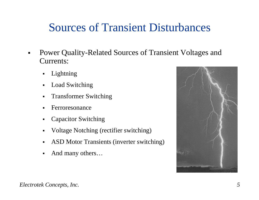#### Sources of Transient Disturbances

- $\blacksquare$  Power Quality-Related Sources of Transient Voltages and Currents:
	- $\blacksquare$ Lightning
	- $\blacksquare$ Load Switching
	- $\blacksquare$ Transformer Switching
	- Ferroresonance
	- $\blacksquare$ Capacitor Switching
	- Voltage Notching (rectifier switching)
	- $\blacksquare$ ASD Motor Transients (inverter switching)
	- $\blacksquare$ And many others…

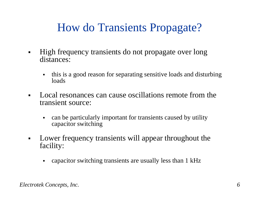# How do Transients Propagate?

- $\blacksquare$  High frequency transients do not propagate over long distances:
	- $\blacksquare$  this is a good reason for separating sensitive loads and disturbing loads
- $\blacksquare$  Local resonances can cause oscillations remote from the transient source:
	- $\blacksquare$  can be particularly important for transients caused by utility capacitor switching
- $\blacksquare$  Lower frequency transients will appear throughout the facility:
	- $\blacksquare$ capacitor switching transients are usually less than 1 kHz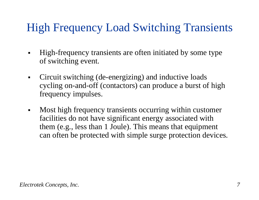# High Frequency Load Switching Transients

- $\blacksquare$  High-frequency transients are often initiated by some type of switching event.
- $\blacksquare$  Circuit switching (de-energizing) and inductive loads cycling on-and-off (contactors) can produce a burst of high frequency impulses.
- $\blacksquare$  Most high frequency transients occurring within customer facilities do not have significant energy associated with them (e.g., less than 1 Joule). This means that equipment can often be protected with simple surge protection devices.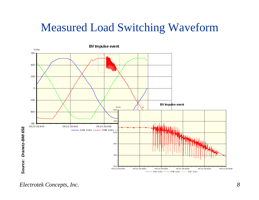#### Measured Load Switching Waveform



*Electrotek Concepts, Inc. 8*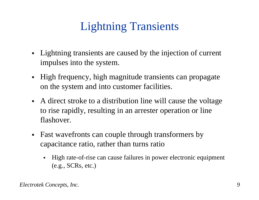# Lightning Transients

- Lightning transients are caused by the injection of current impulses into the system.
- High frequency, high magnitude transients can propagate on the system and into customer facilities.
- A direct stroke to a distribution line will cause the voltage to rise rapidly, resulting in an arrester operation or line flashover.
- Fast wavefronts can couple through transformers by capacitance ratio, rather than turns ratio
	- $\blacksquare$  High rate-of-rise can cause failures in power electronic equipment (e.g., SCRs, etc.)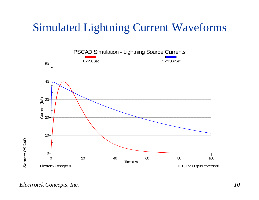#### Simulated Lightning Current Waveforms

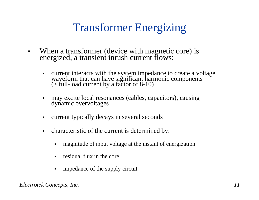# Transformer Energizing

- $\blacksquare$  When a transformer (device with magnetic core) is energized, a transient inrush current flows:
	- $\blacksquare$ current interacts with the system impedance to create a voltage waveform that can have significant harmonic components (> full-load current by a factor of 8-10)
	- $\blacksquare$ may excite local resonances (cables, capacitors), causing dynamic overvoltages
	- $\blacksquare$ current typically decays in several seconds
	- $\blacksquare$  characteristic of the current is determined by:
		- $\blacksquare$ magnitude of input voltage at the instant of energization
		- $\blacksquare$ residual flux in the core
		- impedance of the supply circuit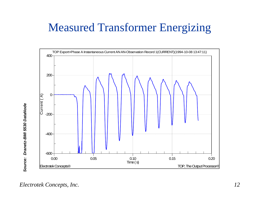# Measured Transformer Energizing

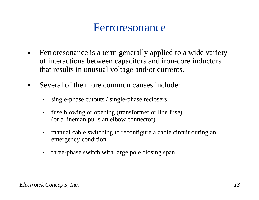#### Ferroresonance

- $\blacksquare$  Ferroresonance is a term generally applied to a wide variety of interactions between capacitors and iron-core inductors that results in unusual voltage and/or currents.
- $\blacksquare$  Several of the more common causes include:
	- $\blacksquare$ single-phase cutouts / single-phase reclosers
	- $\blacksquare$  fuse blowing or opening (transformer or line fuse) (or a lineman pulls an elbow connector)
	- $\blacksquare$  manual cable switching to reconfigure a cable circuit during an emergency condition
	- $\blacksquare$ three-phase switch with large pole closing span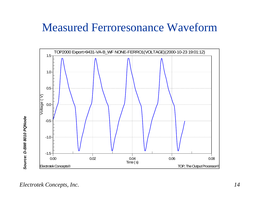#### Measured Ferroresonance Waveform

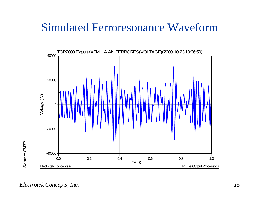#### Simulated Ferroresonance Waveform

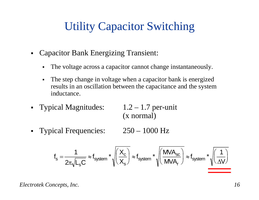# Utility Capacitor Switching

- Capacitor Bank Energizing Transient:
	- $\blacksquare$ The voltage across a capacitor cannot change instantaneously.
	- $\blacksquare$  The step change in voltage when a capacitor bank is energized results in an oscillation between the capacitance and the system inductance.
- Typical Magnitudes: 1.2 1.7 per-unit

(x normal)

Typical Frequencies: 250 – 1000 Hz

$$
f_s = \frac{1}{2\pi \sqrt{L_s C}} \approx f_{system} * \sqrt{\left(\frac{X_c}{X_s}\right)} \approx f_{system} * \sqrt{\left(\frac{MVA_{sc}}{MVA_r}\right)} \approx f_{system} * \sqrt{\left(\frac{1}{\Delta V}\right)}
$$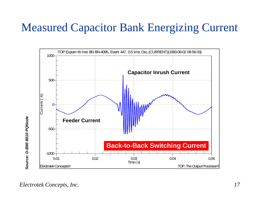#### Measured Capacitor Bank Energizing Current

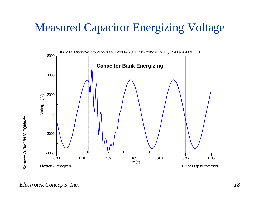#### Measured Capacitor Energizing Voltage

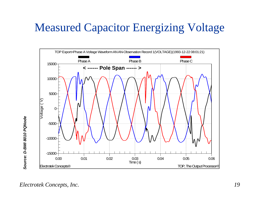#### Measured Capacitor Energizing Voltage

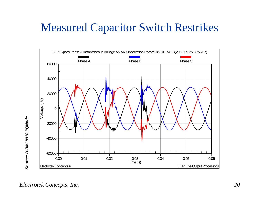#### Measured Capacitor Switch Restrikes

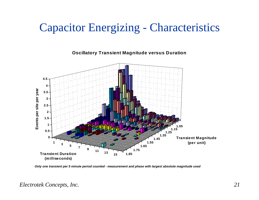#### Capacitor Energizing - Characteristics

**Oscillatory Transient Magnitude versus Duration**



*Only one transient per 5 minute period counted - measurement and phase with largest absolute magnitude used*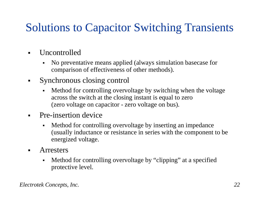# Solutions to Capacitor Switching Transients

- $\blacksquare$  Uncontrolled
	- $\blacksquare$  No preventative means applied (always simulation basecase for comparison of effectiveness of other methods).
- $\blacksquare$  Synchronous closing control
	- Method for controlling overvoltage by switching when the voltage across the switch at the closing instant is equal to zero (zero voltage on capacitor - zero voltage on bus).
- $\blacksquare$  Pre-insertion device
	- $\blacksquare$  Method for controlling overvoltage by inserting an impedance (usually inductance or resistance in series with the component to be energized voltage.
- $\blacksquare$  Arresters
	- $\blacksquare$  Method for controlling overvoltage by "clipping" at a specified protective level.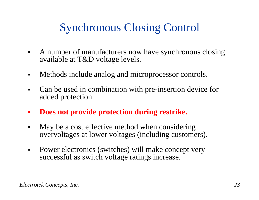# Synchronous Closing Control

- $\blacksquare$  A number of manufacturers now have synchronous closing available at T&D voltage levels.
- $\blacksquare$ Methods include analog and microprocessor controls.
- $\blacksquare$  Can be used in combination with pre-insertion device for added protection.
- $\overline{\phantom{a}}$ **Does not provide protection during restrike.**
- $\blacksquare$  May be a cost effective method when considering overvoltages at lower voltages (including customers).
- $\blacksquare$  Power electronics (switches) will make concept very successful as switch voltage ratings increase.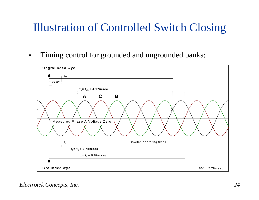# Illustration of Controlled Switch Closing

 $\blacksquare$ Timing control for grounded and ungrounded banks:

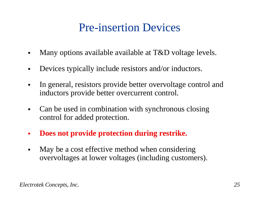### Pre-insertion Devices

- $\blacksquare$ Many options available available at T&D voltage levels.
- $\blacksquare$ Devices typically include resistors and/or inductors.
- $\blacksquare$  In general, resistors provide better overvoltage control and inductors provide better overcurrent control.
- $\blacksquare$  Can be used in combination with synchronous closing control for added protection.
- $\mathcal{L}_{\mathcal{A}}$ **Does not provide protection during restrike.**
- $\blacksquare$  May be a cost effective method when considering overvoltages at lower voltages (including customers).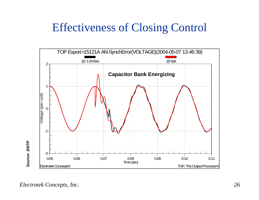### Effectiveness of Closing Control

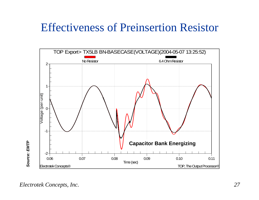#### Effectiveness of Preinsertion Resistor

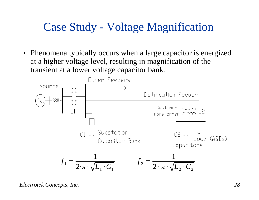#### Case Study - Voltage Magnification

• Phenomena typically occurs when a large capacitor is energized at a higher voltage level, resulting in magnification of the transient at a lower voltage capacitor bank.

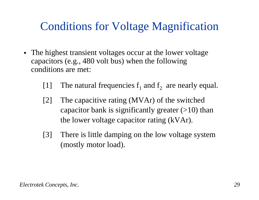### Conditions for Voltage Magnification

- The highest transient voltages occur at the lower voltage capacitors (e.g., 480 volt bus) when the following conditions are met:
	- [1] The natural frequencies  $f_1$  and  $f_2$  are nearly equal.
	- [2] The capacitive rating (MVAr) of the switched capacitor bank is significantly greater  $(>10)$  than the lower voltage capacitor rating (kVAr).
	- [3] There is little damping on the low voltage system (mostly motor load).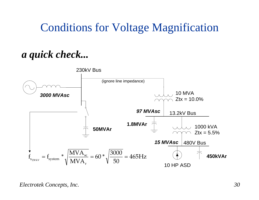#### Conditions for Voltage Magnification

*a quick check...*

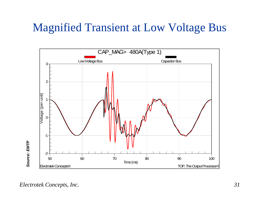#### Magnified Transient at Low Voltage Bus

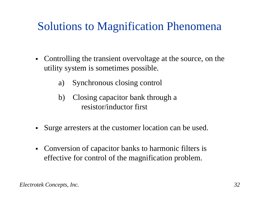# Solutions to Magnification Phenomena

- $\blacksquare$  Controlling the transient overvoltage at the source, on the utility system is sometimes possible.
	- a) Synchronous closing control
	- b) Closing capacitor bank through a resistor/inductor first
- $\blacksquare$ Surge arresters at the customer location can be used.
- Conversion of capacitor banks to harmonic filters is effective for control of the magnification problem.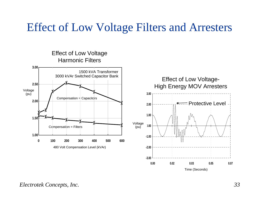#### Effect of Low Voltage Filters and Arresters



Time (Seconds)

#### *Electrotek Concepts, Inc. 33*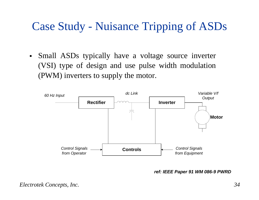## Case Study - Nuisance Tripping of ASDs

 $\blacksquare$  Small ASDs typically have a voltage source inverter (VSI) type of design and use pulse width modulation (PWM) inverters to supply the motor.



*ref: IEEE Paper 91 WM 086-9 PWRD*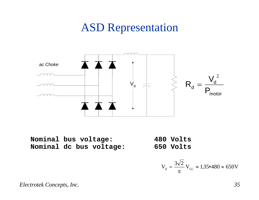#### ASD Representation



**Nominal bus voltage: 480 Volts Nominal dc bus voltage: 650 Volts**

$$
V_{d} = \frac{3\sqrt{2}}{\pi} V_{LL} \approx 1.35*480 \approx 650V
$$

*Electrotek Concepts, Inc. 35*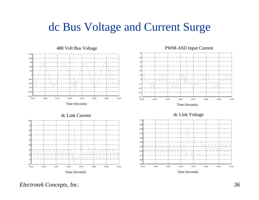#### dc Bus Voltage and Current Surge









Time (Seconds)

#### *Electrotek Concepts, Inc. 36*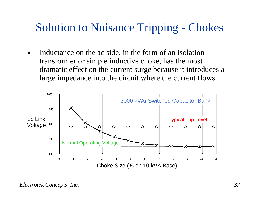# Solution to Nuisance Tripping - Chokes

 $\blacksquare$  Inductance on the ac side, in the form of an isolation transformer or simple inductive choke, has the most dramatic effect on the current surge because it introduces a large impedance into the circuit where the current flows.

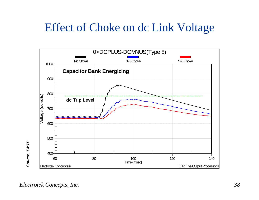#### Effect of Choke on dc Link Voltage

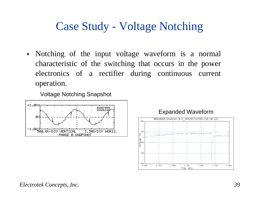#### Case Study - Voltage Notching

• Notching of the input voltage waveform is a normal characteristic of the switching that occurs in the power electronics of a rectifier during continuous current operation.

Voltage Notching Snapshot



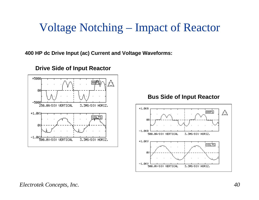#### Voltage Notching – Impact of Reactor

**400 HP dc Drive Input (ac) Current and Voltage Waveforms:**



**Drive Side of Input Reactor**

**Bus Side of Input Reactor**

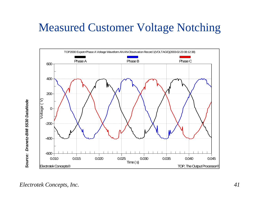## Measured Customer Voltage Notching